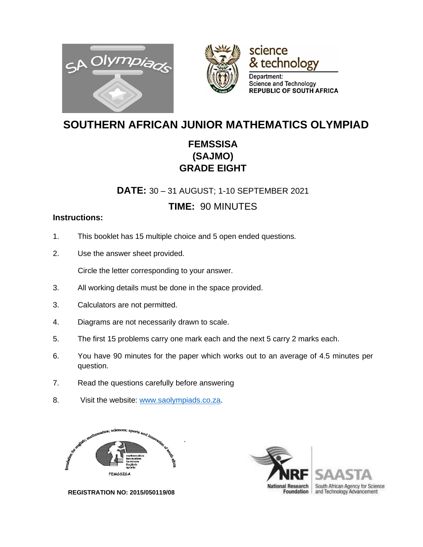





# **SOUTHERN AFRICAN JUNIOR MATHEMATICS OLYMPIAD**

### **FEMSSISA (SAJMO) GRADE EIGHT**

**DATE:** 30 – 31 AUGUST; 1-10 SEPTEMBER 2021

#### **TIME:** 90 MINUTES

#### **Instructions:**

- 1. This booklet has 15 multiple choice and 5 open ended questions.
- 2. Use the answer sheet provided.

Circle the letter corresponding to your answer.

- 3. All working details must be done in the space provided.
- 3. Calculators are not permitted.
- 4. Diagrams are not necessarily drawn to scale.
- 5. The first 15 problems carry one mark each and the next 5 carry 2 marks each.
- 6. You have 90 minutes for the paper which works out to an average of 4.5 minutes per question.
- 7. Read the questions carefully before answering
- 8. Visit the website: [www.saolympiads.co.za.](http://www.saolympiads.co.za/)





 **REGISTRATION NO: 2015/050119/08**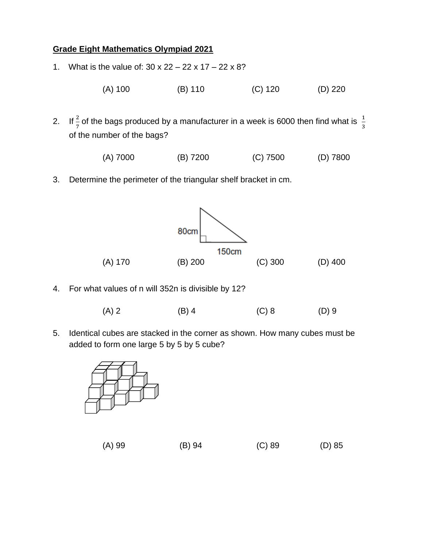#### **Grade Eight Mathematics Olympiad 2021**

- 1. What is the value of: 30 x 22 22 x 17 22 x 8?
	- (A) 100 (B) 110 (C) 120 (D) 220
- 2. If  $\frac{2}{7}$  of the bags produced by a manufacturer in a week is 6000 then find what is  $\frac{1}{3}$  of the number of the bags?
	- (A) 7000 (B) 7200 (C) 7500 (D) 7800
- 3. Determine the perimeter of the triangular shelf bracket in cm.



- 4. For what values of n will 352n is divisible by 12?
	- $(A) 2$  (B) 4 (C) 8 (D) 9
- 5. Identical cubes are stacked in the corner as shown. How many cubes must be added to form one large 5 by 5 by 5 cube?



| (A) 99 | (B) 94 | $(C)$ 89 | $(D)$ 85 |
|--------|--------|----------|----------|
|        |        |          |          |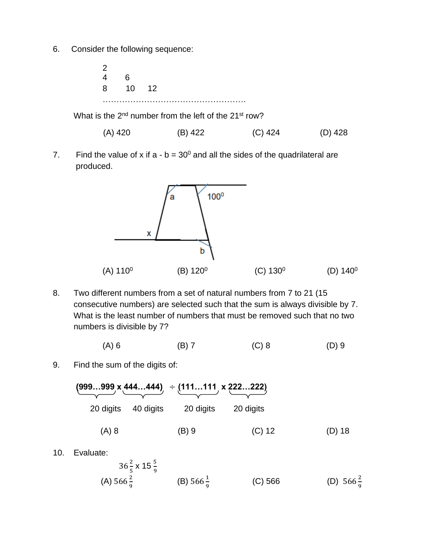6. Consider the following sequence:

 $\frac{2}{4}$ 6 8 10 12 ……………………………………………. What is the  $2^{nd}$  number from the left of the  $21^{st}$  row?

(A) 420 (B) 422 (C) 424 (D) 428

7. Find the value of x if  $a - b = 30^{\circ}$  and all the sides of the quadrilateral are produced.



8. Two different numbers from a set of natural numbers from 7 to 21 (15 consecutive numbers) are selected such that the sum is always divisible by 7. What is the least number of numbers that must be removed such that no two numbers is divisible by 7?

$$
(A) 6 \t\t (B) 7 \t\t (C) 8 \t\t (D) 9
$$

9. Find the sum of the digits of:

|        |           | $(999999 \times 444444)$ $\div (111111 \times 222222)$ |                     |         |  |
|--------|-----------|--------------------------------------------------------|---------------------|---------|--|
|        | 20 digits | 20 digits                                              | 20 digits 40 digits |         |  |
| (D) 18 | $(C)$ 12  | $(B)$ 9                                                |                     | $(A)$ 8 |  |

10. Evaluate:

$$
36\frac{2}{5} \times 15\frac{5}{9}
$$
 (B)  $566\frac{1}{9}$  (C)  $566$  (D)  $566\frac{2}{9}$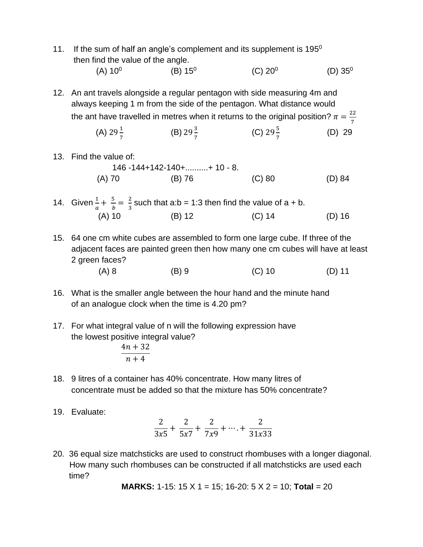11. If the sum of half an angle's complement and its supplement is  $195<sup>0</sup>$ then find the value of the angle.

 $(A) 10^0$  $(B) 15^0$  $(C) 20<sup>0</sup>$ (D)  $35^0$ 

12. An ant travels alongside a regular pentagon with side measuring 4m and always keeping 1 m from the side of the pentagon. What distance would the ant have travelled in metres when it returns to the original position?  $\pi = \frac{22}{7}$ 7

(A) 
$$
29\frac{1}{7}
$$
 \t\t (B)  $29\frac{3}{7}$  \t\t (C)  $29\frac{5}{7}$  \t\t (D) 29

13. Find the value of:

$$
146 - 144 + 142 - 140 + \dots + 10 - 8.
$$
\n
$$
(A) 70 \qquad (B) 76 \qquad (C) 80 \qquad (D) 84
$$

- 14. Given  $\frac{1}{a} + \frac{5}{b}$  $\frac{5}{b} = \frac{2}{3}$  $\frac{2}{3}$  such that a:b = 1:3 then find the value of a + b. (A) 10 (B) 12 (C) 14 (D) 16
- 15. 64 one cm white cubes are assembled to form one large cube. If three of the adjacent faces are painted green then how many one cm cubes will have at least 2 green faces?
	- (A) 8 (B) 9 (C) 10 (D) 11
- 16. What is the smaller angle between the hour hand and the minute hand of an analogue clock when the time is 4.20 pm?
- 17. For what integral value of n will the following expression have the lowest positive integral value?  $4n + 32$

$$
n+4
$$

- 18. 9 litres of a container has 40% concentrate. How many litres of concentrate must be added so that the mixture has 50% concentrate?
- 19. Evaluate:

$$
\frac{2}{3x5} + \frac{2}{5x7} + \frac{2}{7x9} + \dots + \frac{2}{31x33}
$$

20. 36 equal size matchsticks are used to construct rhombuses with a longer diagonal. How many such rhombuses can be constructed if all matchsticks are used each time?

**MARKS:** 1-15: 15 X 1 = 15; 16-20: 5 X 2 = 10; **Total** = 20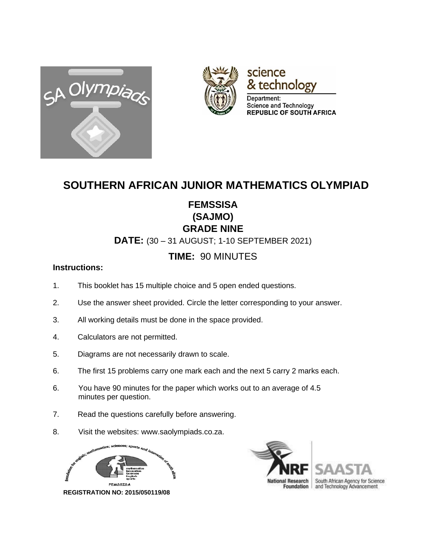



# science & technology

Department: Science and Technology **REPUBLIC OF SOUTH AFRICA** 

## **SOUTHERN AFRICAN JUNIOR MATHEMATICS OLYMPIAD**

### **FEMSSISA (SAJMO) GRADE NINE**

**DATE:** (30 – 31 AUGUST; 1-10 SEPTEMBER 2021)

## **TIME:** 90 MINUTES

#### **Instructions:**

- 1. This booklet has 15 multiple choice and 5 open ended questions.
- 2. Use the answer sheet provided. Circle the letter corresponding to your answer.
- 3. All working details must be done in the space provided.
- 4. Calculators are not permitted.
- 5. Diagrams are not necessarily drawn to scale.
- 6. The first 15 problems carry one mark each and the next 5 carry 2 marks each.
- 6. You have 90 minutes for the paper which works out to an average of 4.5 minutes per question.
- 7. Read the questions carefully before answering.
- 8. Visit the websites: www.saolympiads.co.za.



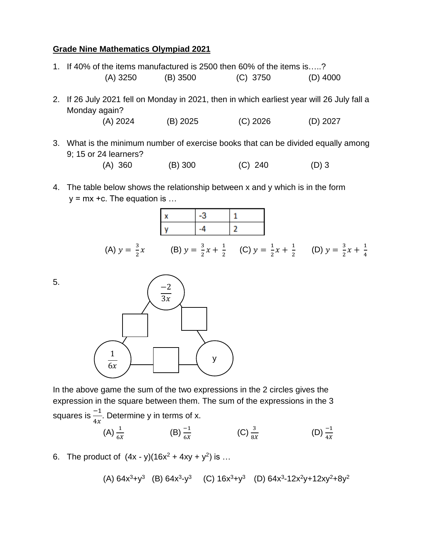#### **Grade Nine Mathematics Olympiad 2021**

|              | 1. If 40% of the items manufactured is 2500 then 60% of the items is?                                       |          |            |            |  |  |
|--------------|-------------------------------------------------------------------------------------------------------------|----------|------------|------------|--|--|
|              | $(A)$ 3250                                                                                                  | (B) 3500 | $(C)$ 3750 | $(D)$ 4000 |  |  |
|              | 2. If 26 July 2021 fell on Monday in 2021, then in which earliest year will 26 July fall a<br>Monday again? |          |            |            |  |  |
|              | (A) 2024                                                                                                    | (B) 2025 | $(C)$ 2026 | $(D)$ 2027 |  |  |
| $\mathbf{r}$ | What is the minimum number of exercise books that can be divided equally among                              |          |            |            |  |  |

- the minimum number of exercise books that can be divided equally among 9; 15 or 24 learners?
	- (A) 360 (B) 300 (C) 240 (D) 3
- 4. The table below shows the relationship between x and y which is in the form  $y = mx + c$ . The equation is ...







In the above game the sum of the two expressions in the 2 circles gives the expression in the square between them. The sum of the expressions in the 3 squares is  $\frac{-1}{4x}$ . Determine y in terms of x.

(A) 
$$
\frac{1}{6X}
$$
 \t\t (B)  $\frac{-1}{6X}$  \t\t (C)  $\frac{3}{8X}$  \t\t (D)  $\frac{-1}{4X}$ 

6. The product of  $(4x - y)(16x^2 + 4xy + y^2)$  is ...

(A)  $64x^3+y^3$   $(B)$   $64x^3-y^3$   $(C)$   $16x^3+y^3$   $(D)$   $64x^3-12x^2y+12xy^2+8y^2$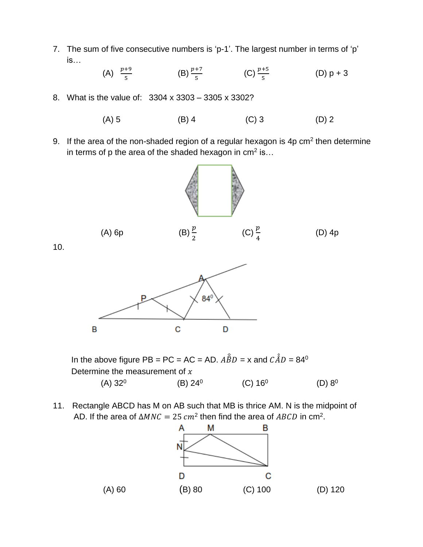7. The sum of five consecutive numbers is 'p-1'. The largest number in terms of 'p' is…

> (A)  $\frac{p+9}{5}$ (B)  $\frac{p+7}{5}$  (C)  $\frac{p+5}{5}$ (D)  $p + 3$

8. What is the value of: 3304 x 3303 – 3305 x 3302?

(A) 5 (B) 4 (C) 3 (D) 2

9. If the area of the non-shaded region of a regular hexagon is 4p cm<sup>2</sup> then determine in terms of p the area of the shaded hexagon in cm<sup>2</sup> is...



10.



In the above figure PB = PC = AC = AD.  $\hat{A}\hat{B}D = x$  and  $\hat{C}\hat{A}D = 84^\circ$ Determine the measurement of  $x$  $(A) 32<sup>0</sup>$  (B) 24<sup>0</sup>  $(C) 16^0$  $(D) 8^0$ 

11. Rectangle ABCD has M on AB such that MB is thrice AM. N is the midpoint of AD. If the area of  $\Delta MNC = 25$   $cm^2$  then find the area of ABCD in cm<sup>2</sup>.